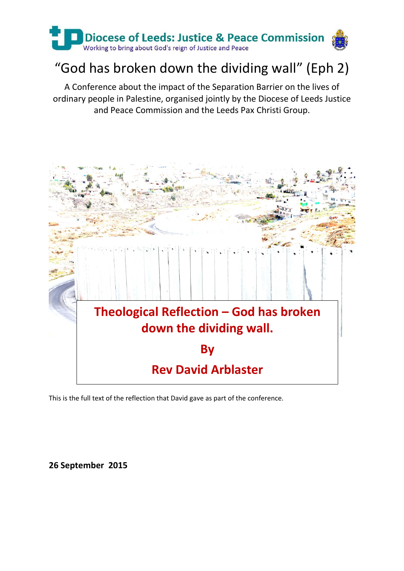

# "God has broken down the dividing wall" (Eph 2)

A Conference about the impact of the Separation Barrier on the lives of ordinary people in Palestine, organised jointly by the Diocese of Leeds Justice and Peace Commission and the Leeds Pax Christi Group.



This is the full text of the reflection that David gave as part of the conference.

### **26 September 2015**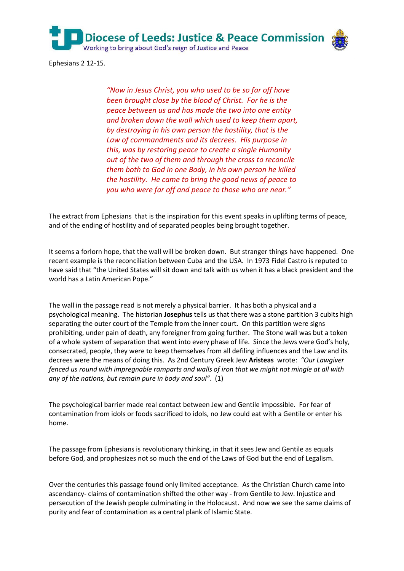

Ephesians 2 12-15.

*"Now in Jesus Christ, you who used to be so far off have been brought close by the blood of Christ. For he is the peace between us and has made the two into one entity and broken down the wall which used to keep them apart, by destroying in his own person the hostility, that is the Law of commandments and its decrees. His purpose in this, was by restoring peace to create a single Humanity out of the two of them and through the cross to reconcile them both to God in one Body, in his own person he killed the hostility. He came to bring the good news of peace to you who were far off and peace to those who are near."*

The extract from Ephesians that is the inspiration for this event speaks in uplifting terms of peace, and of the ending of hostility and of separated peoples being brought together.

It seems a forlorn hope, that the wall will be broken down. But stranger things have happened. One recent example is the reconciliation between Cuba and the USA. In 1973 Fidel Castro is reputed to have said that "the United States will sit down and talk with us when it has a black president and the world has a Latin American Pope."

The wall in the passage read is not merely a physical barrier. It has both a physical and a psychological meaning. The historian **Josephus** tells us that there was a stone partition 3 cubits high separating the outer court of the Temple from the inner court. On this partition were signs prohibiting, under pain of death, any foreigner from going further. The Stone wall was but a token of a whole system of separation that went into every phase of life. Since the Jews were God's holy, consecrated, people, they were to keep themselves from all defiling influences and the Law and its decrees were the means of doing this. As 2nd Century Greek Jew **Aristeas** wrote: *"Our Lawgiver fenced us round with impregnable ramparts and walls of iron that we might not mingle at all with any of the nations, but remain pure in body and soul"*. (1)

The psychological barrier made real contact between Jew and Gentile impossible. For fear of contamination from idols or foods sacrificed to idols, no Jew could eat with a Gentile or enter his home.

The passage from Ephesians is revolutionary thinking, in that it sees Jew and Gentile as equals before God, and prophesizes not so much the end of the Laws of God but the end of Legalism.

Over the centuries this passage found only limited acceptance. As the Christian Church came into ascendancy- claims of contamination shifted the other way - from Gentile to Jew. Injustice and persecution of the Jewish people culminating in the Holocaust. And now we see the same claims of purity and fear of contamination as a central plank of Islamic State.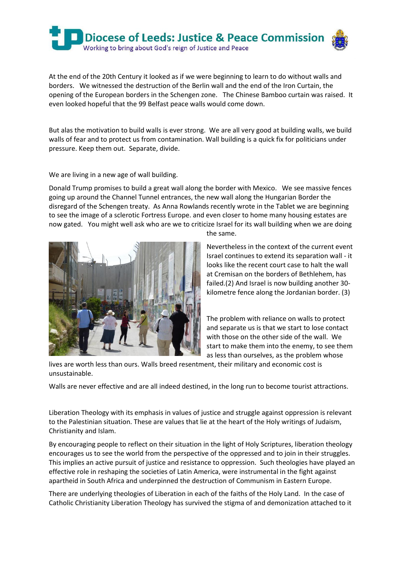

At the end of the 20th Century it looked as if we were beginning to learn to do without walls and borders. We witnessed the destruction of the Berlin wall and the end of the Iron Curtain, the opening of the European borders in the Schengen zone. The Chinese Bamboo curtain was raised. It even looked hopeful that the 99 Belfast peace walls would come down.

But alas the motivation to build walls is ever strong. We are all very good at building walls, we build walls of fear and to protect us from contamination. Wall building is a quick fix for politicians under pressure. Keep them out. Separate, divide.

We are living in a new age of wall building.

Donald Trump promises to build a great wall along the border with Mexico. We see massive fences going up around the Channel Tunnel entrances, the new wall along the Hungarian Border the disregard of the Schengen treaty. As Anna Rowlands recently wrote in the Tablet we are beginning to see the image of a sclerotic Fortress Europe. and even closer to home many housing estates are now gated. You might well ask who are we to criticize Israel for its wall building when we are doing



the same.

Nevertheless in the context of the current event Israel continues to extend its separation wall - it looks like the recent court case to halt the wall at Cremisan on the borders of Bethlehem, has failed.(2) And Israel is now building another 30 kilometre fence along the Jordanian border. (3)

The problem with reliance on walls to protect and separate us is that we start to lose contact with those on the other side of the wall. We start to make them into the enemy, to see them as less than ourselves, as the problem whose

lives are worth less than ours. Walls breed resentment, their military and economic cost is unsustainable.

Walls are never effective and are all indeed destined, in the long run to become tourist attractions.

Liberation Theology with its emphasis in values of justice and struggle against oppression is relevant to the Palestinian situation. These are values that lie at the heart of the Holy writings of Judaism, Christianity and Islam.

By encouraging people to reflect on their situation in the light of Holy Scriptures, liberation theology encourages us to see the world from the perspective of the oppressed and to join in their struggles. This implies an active pursuit of justice and resistance to oppression. Such theologies have played an effective role in reshaping the societies of Latin America, were instrumental in the fight against apartheid in South Africa and underpinned the destruction of Communism in Eastern Europe.

There are underlying theologies of Liberation in each of the faiths of the Holy Land. In the case of Catholic Christianity Liberation Theology has survived the stigma of and demonization attached to it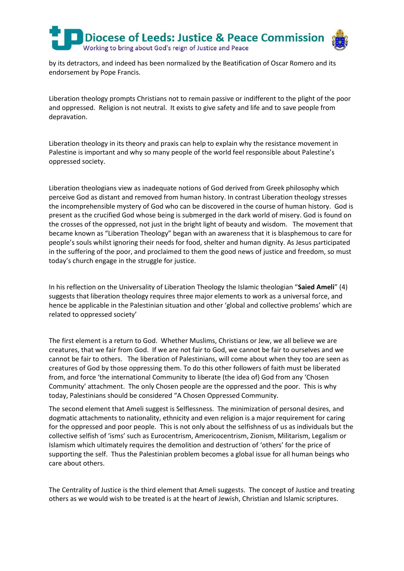

by its detractors, and indeed has been normalized by the Beatification of Oscar Romero and its endorsement by Pope Francis.

Liberation theology prompts Christians not to remain passive or indifferent to the plight of the poor and oppressed. Religion is not neutral. It exists to give safety and life and to save people from depravation.

Liberation theology in its theory and praxis can help to explain why the resistance movement in Palestine is important and why so many people of the world feel responsible about Palestine's oppressed society.

Liberation theologians view as inadequate notions of God derived from Greek philosophy which perceive God as distant and removed from human history. In contrast Liberation theology stresses the incomprehensible mystery of God who can be discovered in the course of human history. God is present as the crucified God whose being is submerged in the dark world of misery. God is found on the crosses of the oppressed, not just in the bright light of beauty and wisdom. The movement that became known as "Liberation Theology" began with an awareness that it is blasphemous to care for people's souls whilst ignoring their needs for food, shelter and human dignity. As Jesus participated in the suffering of the poor, and proclaimed to them the good news of justice and freedom, so must today's church engage in the struggle for justice.

In his reflection on the Universality of Liberation Theology the Islamic theologian "**Saied Ameli**" (4) suggests that liberation theology requires three major elements to work as a universal force, and hence be applicable in the Palestinian situation and other 'global and collective problems' which are related to oppressed society'

The first element is a return to God. Whether Muslims, Christians or Jew, we all believe we are creatures, that we fair from God. If we are not fair to God, we cannot be fair to ourselves and we cannot be fair to others. The liberation of Palestinians, will come about when they too are seen as creatures of God by those oppressing them. To do this other followers of faith must be liberated from, and force 'the international Community to liberate (the idea of) God from any 'Chosen Community' attachment. The only Chosen people are the oppressed and the poor. This is why today, Palestinians should be considered "A Chosen Oppressed Community.

The second element that Ameli suggest is Selflessness. The minimization of personal desires, and dogmatic attachments to nationality, ethnicity and even religion is a major requirement for caring for the oppressed and poor people. This is not only about the selfishness of us as individuals but the collective selfish of 'isms' such as Eurocentrism, Americocentrism, Zionism, Militarism, Legalism or Islamism which ultimately requires the demolition and destruction of 'others' for the price of supporting the self. Thus the Palestinian problem becomes a global issue for all human beings who care about others.

The Centrality of Justice is the third element that Ameli suggests. The concept of Justice and treating others as we would wish to be treated is at the heart of Jewish, Christian and Islamic scriptures.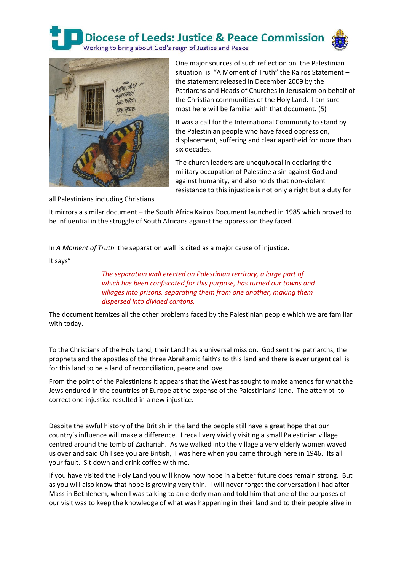**Diocese of Leeds: Justice & Peace Commission** 



Working to bring about God's reign of Justice and Peace



One major sources of such reflection on the Palestinian situation is "A Moment of Truth" the Kairos Statement – the statement released in December 2009 by the Patriarchs and Heads of Churches in Jerusalem on behalf of the Christian communities of the Holy Land. I am sure most here will be familiar with that document. (5)

It was a call for the International Community to stand by the Palestinian people who have faced oppression, displacement, suffering and clear apartheid for more than six decades.

The church leaders are unequivocal in declaring the military occupation of Palestine a sin against God and against humanity, and also holds that non-violent resistance to this injustice is not only a right but a duty for

all Palestinians including Christians.

It mirrors a similar document – the South Africa Kairos Document launched in 1985 which proved to be influential in the struggle of South Africans against the oppression they faced.

In *A Moment of Truth* the separation wall is cited as a major cause of injustice.

It says"

*The separation wall erected on Palestinian territory, a large part of which has been confiscated for this purpose, has turned our towns and villages into prisons, separating them from one another, making them dispersed into divided cantons.*

The document itemizes all the other problems faced by the Palestinian people which we are familiar with today.

To the Christians of the Holy Land, their Land has a universal mission. God sent the patriarchs, the prophets and the apostles of the three Abrahamic faith's to this land and there is ever urgent call is for this land to be a land of reconciliation, peace and love.

From the point of the Palestinians it appears that the West has sought to make amends for what the Jews endured in the countries of Europe at the expense of the Palestinians' land. The attempt to correct one injustice resulted in a new injustice.

Despite the awful history of the British in the land the people still have a great hope that our country's influence will make a difference. I recall very vividly visiting a small Palestinian village centred around the tomb of Zachariah. As we walked into the village a very elderly women waved us over and said Oh I see you are British, I was here when you came through here in 1946. Its all your fault. Sit down and drink coffee with me.

If you have visited the Holy Land you will know how hope in a better future does remain strong. But as you will also know that hope is growing very thin. I will never forget the conversation I had after Mass in Bethlehem, when I was talking to an elderly man and told him that one of the purposes of our visit was to keep the knowledge of what was happening in their land and to their people alive in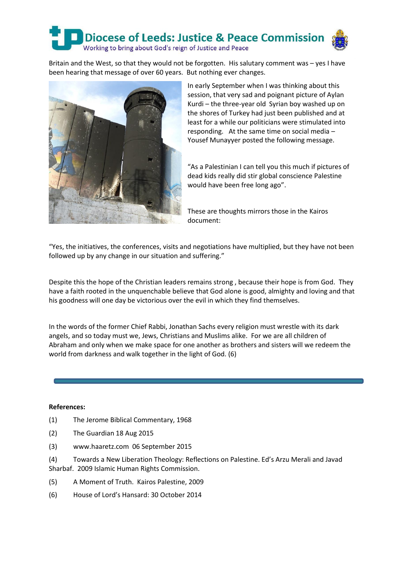## **Diocese of Leeds: Justice & Peace Commission** Working to bring about God's reign of Justice and Peace

Britain and the West, so that they would not be forgotten. His salutary comment was – yes I have been hearing that message of over 60 years. But nothing ever changes.



In early September when I was thinking about this session, that very sad and poignant picture of Aylan Kurdi – the three-year old Syrian boy washed up on the shores of Turkey had just been published and at least for a while our politicians were stimulated into responding. At the same time on social media – Yousef Munayyer posted the following message.

"As a Palestinian I can tell you this much if pictures of dead kids really did stir global conscience Palestine would have been free long ago".

These are thoughts mirrors those in the Kairos document:

"Yes, the initiatives, the conferences, visits and negotiations have multiplied, but they have not been followed up by any change in our situation and suffering."

Despite this the hope of the Christian leaders remains strong , because their hope is from God. They have a faith rooted in the unquenchable believe that God alone is good, almighty and loving and that his goodness will one day be victorious over the evil in which they find themselves.

In the words of the former Chief Rabbi, Jonathan Sachs every religion must wrestle with its dark angels, and so today must we, Jews, Christians and Muslims alike. For we are all children of Abraham and only when we make space for one another as brothers and sisters will we redeem the world from darkness and walk together in the light of God. (6)

#### **References:**

- (1) The Jerome Biblical Commentary, 1968
- (2) The Guardian 18 Aug 2015
- (3) www.haaretz.com 06 September 2015

(4) Towards a New Liberation Theology: Reflections on Palestine. Ed's Arzu Merali and Javad Sharbaf. 2009 Islamic Human Rights Commission.

- (5) A Moment of Truth. Kairos Palestine, 2009
- (6) House of Lord's Hansard: 30 October 2014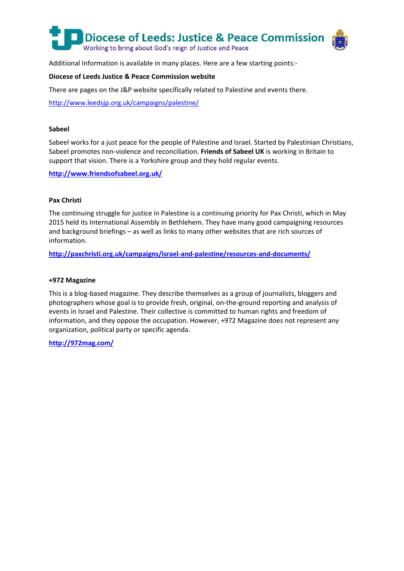

Additional Information is available in many places. Here are a few starting points:-

#### **Diocese of Leeds Justice & Peace Commission website**

There are pages on the J&P website specifically related to Palestine and events there.

<http://www.leedsjp.org.uk/campaigns/palestine/>

#### **Sabeel**

Sabeel works for a just peace for the people of Palestine and Israel. Started by Palestinian Christians, Sabeel promotes non-violence and reconciliation. **Friends of Sabeel UK** is working in Britain to support that vision. There is a Yorkshire group and they hold regular events.

**<http://www.friendsofsabeel.org.uk/>**

#### **Pax Christi**

The continuing struggle for justice in Palestine is a continuing priority for Pax Christi, which in May 2015 held its International Assembly in Bethlehem. They have many good campaigning resources and background briefings – as well as links to many other websites that are rich sources of information.

**<http://paxchristi.org.uk/campaigns/israel-and-palestine/resources-and-documents/>**

#### **+972 Magazine**

This is a blog-based magazine. They describe themselves as a group of journalists, bloggers and photographers whose goal is to provide fresh, original, on-the-ground reporting and analysis of events in Israel and Palestine. Their collective is committed to human rights and freedom of information, and they oppose the occupation. However, +972 Magazine does not represent any organization, political party or specific agenda.

**<http://972mag.com/>**